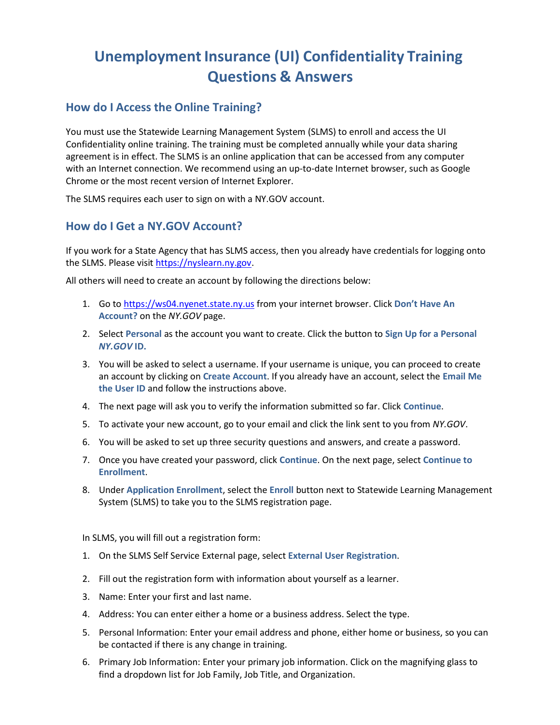# **Unemployment Insurance (UI) Confidentiality Training Questions & Answers**

## **How do I Access the Online Training?**

You must use the Statewide Learning Management System (SLMS) to enroll and access the UI Confidentiality online training. The training must be completed annually while your data sharing agreement is in effect. The SLMS is an online application that can be accessed from any computer with an Internet connection. We recommend using an up-to-date Internet browser, such as Google Chrome or the most recent version of Internet Explorer.

The SLMS requires each user to sign on with a NY.GOV account.

# **How do I Get a NY.GOV Account?**

If you work for a State Agency that has SLMS access, then you already have credentials for logging onto the SLMS. Please visit https://nyslearn.ny.gov.

All others will need to create an account by following the directions below:

- 1. Go to https://ws04.nyenet.state.ny.us from your internet browser. Click **Don't Have An Account?** on the *NY.GOV* page.
- 2. Select **Personal** as the account you want to create. Click the button to **Sign Up for a Personal** *NY.GOV* **ID.**
- 3. You will be asked to select a username. If your username is unique, you can proceed to create an account by clicking on **Create Account**. If you already have an account, select the **Email Me the User ID** and follow the instructions above.
- 4. The next page will ask you to verify the information submitted so far. Click **Continue**.
- 5. To activate your new account, go to your email and click the link sent to you from *NY.GOV*.
- 6. You will be asked to set up three security questions and answers, and create a password.
- 7. Once you have created your password, click **Continue**. On the next page, select **Continue to Enrollment**.
- 8. Under **Application Enrollment**, select the **Enroll** button next to Statewide Learning Management System (SLMS) to take you to the SLMS registration page.

In SLMS, you will fill out a registration form:

- 1. On the SLMS Self Service External page, select **External User Registration**.
- 2. Fill out the registration form with information about yourself as a learner.
- 3. Name: Enter your first and last name.
- 4. Address: You can enter either a home or a business address. Select the type.
- 5. Personal Information: Enter your email address and phone, either home or business, so you can be contacted if there is any change in training.
- 6. Primary Job Information: Enter your primary job information. Click on the magnifying glass to find a dropdown list for Job Family, Job Title, and Organization.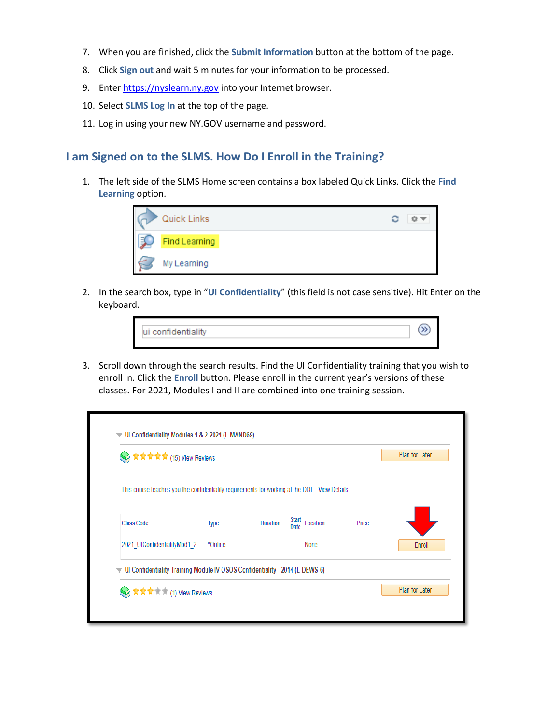- 7. When you are finished, click the **Submit Information** button at the bottom of the page.
- 8. Click **Sign out** and wait 5 minutes for your information to be processed.
- 9. Enter https://nyslearn.ny.gov into your Internet browser.
- 10. Select **SLMS Log In** at the top of the page.
- 11. Log in using your new NY.GOV username and password.

### **I am Signed on to the SLMS. How Do I Enroll in the Training?**

1. The left side of the SLMS Home screen contains a box labeled Quick Links. Click the **Find Learning** option.



2. In the search box, type in "**UI Confidentiality**" (this field is not case sensitive). Hit Enter on the keyboard.

| E. J<br>سم ت<br>$\sim$<br>$ -$<br>≏<br>⊣ |  |
|------------------------------------------|--|
|                                          |  |

3. Scroll down through the search results. Find the UI Confidentiality training that you wish to enroll in. Click the **Enroll** button. Please enroll in the current year's versions of these classes. For 2021, Modules I and II are combined into one training session.

| <b>★★★★★</b> (15) View Reviews                                                                |         |                 |                                  | Plan for Later |                |
|-----------------------------------------------------------------------------------------------|---------|-----------------|----------------------------------|----------------|----------------|
| This course teaches you the confidentiality requirements for working at the DOL. View Details |         |                 |                                  |                |                |
| <b>Class Code</b>                                                                             | Type    | <b>Duration</b> | <b>Start</b><br>.ocation<br>Date | Price          |                |
| 2021_UIConfidentialityMod1_2                                                                  | *Online |                 | None                             |                | Enroll         |
| ▼ Ul Confidentiality Training Module IV OSOS Confidentiality - 2014 (L-DEWS-6)                |         |                 |                                  |                |                |
| (1) View Reviews                                                                              |         |                 |                                  |                | Plan for Later |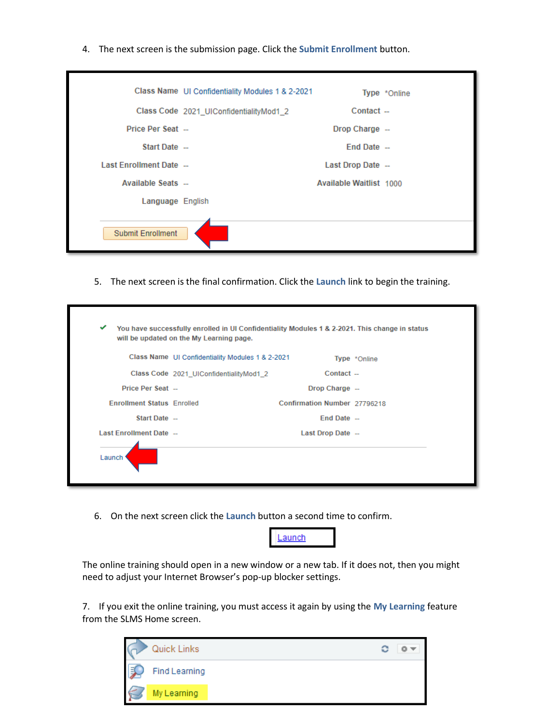4. The next screen is the submission page. Click the **Submit Enrollment** button.

|                          | Class Name UI Confidentiality Modules 1 & 2-2021 |                                | Type *Online |
|--------------------------|--------------------------------------------------|--------------------------------|--------------|
|                          | Class Code 2021_UIConfidentialityMod1_2          | $Content -$                    |              |
| Price Per Seat -         |                                                  | Drop Charge -                  |              |
| Start Date -             |                                                  | End Date $-$                   |              |
| Last Enrollment Date -   |                                                  | Last Drop Date -               |              |
| Available Seats -        |                                                  | <b>Available Waitlist 1000</b> |              |
| Language English         |                                                  |                                |              |
|                          |                                                  |                                |              |
| <b>Submit Enrollment</b> |                                                  |                                |              |

5. The next screen is the final confirmation. Click the **Launch** link to begin the training.

|        |                                   | Class Name UI Confidentiality Modules 1 & 2-2021<br>Class Code 2021 UIConfidentialityMod1 2 | Type *Online                 |  |
|--------|-----------------------------------|---------------------------------------------------------------------------------------------|------------------------------|--|
|        |                                   |                                                                                             |                              |  |
|        |                                   |                                                                                             | $Content -$                  |  |
|        | Price Per Seat -                  |                                                                                             | Drop Charge -                |  |
|        | <b>Enrollment Status Enrolled</b> |                                                                                             | Confirmation Number 27796218 |  |
|        | Start Date -                      |                                                                                             | End Date -                   |  |
| Launch | Last Enrollment Date -            |                                                                                             | Last Drop Date -             |  |

6. On the next screen click the **Launch** button a second time to confirm.



The online training should open in a new window or a new tab. If it does not, then you might need to adjust your Internet Browser's pop-up blocker settings.

7. If you exit the online training, you must access it again by using the **My Learning** feature from the SLMS Home screen.